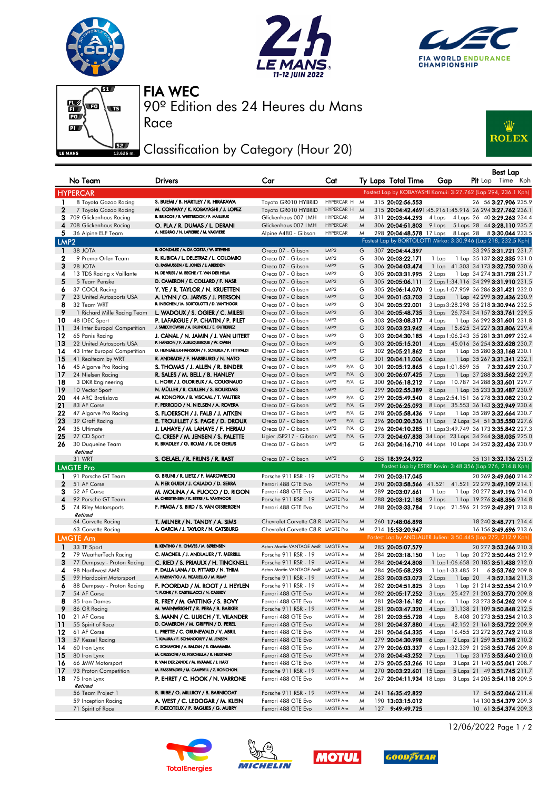







Race

90º Edition des 24 Heures du Mans FIA WEC

## Classification by Category (Hour 20)



|                   | No Team                                                  | <b>Drivers</b>                                                                   | Car                                          | Cat                           |        | Ty Laps Total Time                   | Gap               | <b>Best Lap</b><br><b>Pit</b> Lap Time Kph                          |
|-------------------|----------------------------------------------------------|----------------------------------------------------------------------------------|----------------------------------------------|-------------------------------|--------|--------------------------------------|-------------------|---------------------------------------------------------------------|
|                   | <b>HYPERCAR</b>                                          |                                                                                  |                                              |                               |        |                                      |                   | Fastest Lap by KOBAYASHI Kamui: 3:27.762 (Lap 294, 236.1 Kph)       |
| 1                 | 8 Toyota Gazoo Racing                                    | S. BUEMI / B. HARTLEY / R. HIRAKAWA                                              | Toyota GR010 HYBRID                          | HYPERCAR H                    | M      | 315 20:02:56.553                     |                   | 26 56 3:27.906 235.9                                                |
| $\mathbf{2}$      | 7 Toyota Gazoo Racing                                    | M. CONWAY / K. KOBAYASHI / J. LOPEZ                                              | Toyota GR010 HYBRID                          | HYPERCAR H                    | M      |                                      |                   | 315 20:04:42.4691:45.9161:45.916 26 294 3:27.762 236.1              |
|                   | 3 709 Glickenhaus Racing                                 | R. BRISCOE / R. WESTBROOK / F. MAILLEUX                                          | Glickenhaus 007 LMH                          | <b>HYPERCAR</b>               | M      | 311 20:03:44.293                     |                   | 4 Laps 4 Laps 26 40 3:29.263 234.4                                  |
|                   | 4 708 Glickenhaus Racing                                 | O. PLA / R. DUMAS / L. DERANI                                                    | Glickenhaus 007 LMH                          | <b>HYPERCAR</b>               | M      | 306 20:04:51.803                     |                   | 9 Laps 5 Laps 28 44 3:28.110 235.7                                  |
|                   | 5 36 Alpine ELF Team                                     | A. NEGRÃO / N. LAPIERRE / M. VAXIVIERE                                           | Alpine A480 - Gibson                         | <b>HYPERCAR</b>               | M      |                                      |                   | 298 20:04:48.578 17 Laps 8 Laps 28 8 3:30.044 233.5                 |
| LMP <sub>2</sub>  |                                                          |                                                                                  |                                              |                               |        |                                      |                   | Fastest Lap by BORTOLOTTI Mirko: 3:30.946 (Lap 218, 232.5 Kph)      |
| $\mathbf{1}$      | 38 JOTA                                                  | R. GONZALEZ / A. DA COSTA / W. STEVENS                                           | Oreca 07 - Gibson                            | LMP2                          | G      | 307 20:04:44.397                     |                   | 33 295 3:31.721 231.7                                               |
| 2                 | 9 Prema Orlen Team                                       | R. KUBICA / L. DELETRAZ / L. COLOMBO                                             | Oreca 07 - Gibson                            | LMP2                          | G      | 306 20:03:22.171                     | 1 Lap             | 1 Lap 35 137 3:32.335 231.0                                         |
| 3                 | 28 JOTA                                                  | O. RASMUSSEN / E. JONES / J. ABERDEIN                                            | Oreca 07 - Gibson                            | LMP <sub>2</sub>              | G      | 306 20:04:03.474                     |                   | 1 Lap 41.303 34 173 3:32.750 230.6                                  |
| 4                 | 13 TDS Racing x Vaillante                                | N. DE VRIES / M. BECHE / T. VAN DER HELM                                         | Oreca 07 - Gibson                            | LMP <sub>2</sub>              | G      | 305 20:03:31.995                     | 2 Laps            | 1 Lap 34 274 3:31.728 231.7                                         |
| 5                 | 5 Team Penske                                            | D. CAMERON / E. COLLARD / F. NASR                                                | Oreca 07 - Gibson                            | LMP2                          | G      | 305 20:05:06.111                     |                   | 2 Laps 1:34.116 34 299 3:31.910 231.5                               |
| 6                 | 37 COOL Racing                                           | Y. YE / R. TAYLOR / N. KRUETTEN                                                  | Oreca 07 - Gibson                            | LMP <sub>2</sub>              | G      | 305 20:06:14.070                     |                   | 2 Laps 1:07.959 36 286 3:31.421 232.0                               |
| 7                 | 23 United Autosports USA                                 | A. LYNN / O. JARVIS / J. PIERSON                                                 | Oreca 07 - Gibson                            | LMP2                          | G      | 304 20:01:53.703                     | 3 Laps            | 1 Lap 42 299 <b>3:32.436</b> 230.9                                  |
| 8                 | 32 Team WRT                                              | R. INEICHEN / M. BORTOLOTTI / D. VANTHOOR                                        | Oreca 07 - Gibson                            | LMP <sub>2</sub>              | G      | 304 20:05:22.001                     |                   | 3 Laps 3:28.298 35 218 3:30.946 232.5                               |
| 9                 | 1 Richard Mille Racing Team                              | L. WADOUX / S. OGIER / C. MILESI                                                 | Oreca 07 - Gibson                            | LMP <sub>2</sub>              | G      | 304 20:05:48.735                     |                   | 3 Laps 26.734 34 157 3:33.761 229.5                                 |
| 10                | 48 IDEC Sport                                            | P. LAFARGUE / P. CHATIN / P. PILET<br>J. SMIECHOWSKI / A. BRUNDLE / E. GUTIERREZ | Oreca 07 - Gibson                            | LMP <sub>2</sub>              | G      | 303 20:03:08.317                     | 4 Laps            | 1 Lap 36 292 <b>3:31.601</b> 231.8                                  |
| 11                | 34 Inter Europol Competition                             |                                                                                  | Oreca 07 - Gibson                            | LMP <sub>2</sub>              | G      | 303 20:03:23.942                     |                   | 4 Laps 15.625 34 227 3:33.806 229.4                                 |
| 12                | 65 Panis Racing                                          | J. CANAL / N. JAMIN / J. VAN UITERT<br>P. HANSON / F. ALBUQUERQUE / W. OWEN      | Oreca 07 - Gibson                            | LMP2<br>LMP <sub>2</sub>      | G      | 303 20:04:30.185                     |                   | 4 Laps 1:06.243 35 281 3:31.097 232.4                               |
| 13<br>14          | 22 United Autosports USA<br>43 Inter Europol Competition | D. HEINEMEIER-HANSSON / F. SCHERER / P. FITTIPALDI                               | Oreca 07 - Gibson<br>Oreca 07 - Gibson       | LMP2                          | G<br>G | 303 20:05:15.201<br>302 20:05:21.862 | 5 Laps            | 4 Laps 45.016 36 254 3:32.628 230.7<br>1 Lap 35 280 3:33.168 230.1  |
| -15               | 41 Realteam by WRT                                       | R. ANDRADE / F. HABSBURG / N. NATO                                               | Oreca 07 - Gibson                            | LMP2                          | G      | 301 20:04:11.006                     | 6 Laps            | 1 Lap 35 267 3:31.341 232.1                                         |
| 16                | 45 Algarve Pro Racing                                    | S. THOMAS / J. ALLEN / R. BINDER                                                 | Oreca 07 - Gibson                            | $P/A$ G<br>LMP <sub>2</sub>   |        | 301 20:05:12.865                     |                   | 6 Laps 1:01.859 35 73:32.629 230.7                                  |
| 17                | 24 Nielsen Racing                                        | R. SALES / M. BELL / B. HANLEY                                                   | Oreca 07 - Gibson                            | LMP2<br>$P/A$ G               |        | 300 20:06:07.425                     | 7 Laps            | 1 Lap 37 288 3:33.562 229.7                                         |
| 18                | 3 DKR Engineering                                        | L. HORR / J. GLORIEUX / A. COUGNAUD                                              | Oreca 07 - Gibson                            | LMP2<br>$P/A$ G               |        | 300 20:06:18.212                     |                   | 7 Laps 10.787 34 288 3:33.601 229.7                                 |
| 19                | 10 Vector Sport                                          | N. MÜLLER / R. CULLEN / S. BOURDAIS                                              | Oreca 07 - Gibson                            | LMP <sub>2</sub>              | G      | 299 20:02:55.389                     | 8 Laps            | 1 Lap 35 233 3:32.487 230.9                                         |
| 20                | 44 ARC Bratislava                                        | M. KONOPKA / B. VISCAAL / T. VAUTIER                                             | Oreca 07 - Gibson                            | P/A G<br>LMP2                 |        | 299 20:05:49.540                     |                   | 8 Laps 2:54.151 36 278 3:33.082 230.2                               |
| 21                | 83 AF Corse                                              | F. PERRODO / N. NIELSEN / A. ROVERA                                              | Oreca 07 - Gibson                            | LMP <sub>2</sub><br>$P/A$ G   |        | 299 20:06:25.093                     |                   | 8 Laps 35.553 36 143 3:32.949 230.4                                 |
| 22                | 47 Algarve Pro Racing                                    | S. FLOERSCH / J. FALB / J. AITKEN                                                | Oreca 07 - Gibson                            | LMP2<br>$P/A$ $G$             |        | 298 20:05:58.436                     | 9 Laps            | 1 Lap 35 289 3:32.664 230.7                                         |
| 23                | 39 Graff Racing                                          | E. TROUILLET / S. PAGE / D. DROUX                                                | Oreca 07 - Gibson                            | LMP <sub>2</sub><br>$P/A$ $G$ |        |                                      |                   | 296 20:00:20.536 11 Laps 2 Laps 34 51 3:35.550 227.6                |
| 24                | 35 Ultimate                                              | J. LAHAYE / M. LAHAYE / F. HERIAU                                                | Oreca 07 - Gibson                            | P/A G<br>LMP <sub>2</sub>     |        |                                      |                   | 296 20:04:10.285 11 Laps 3:49.749 36 173 3:35.842 227.3             |
| 25                | 27 CD Sport                                              | C. CRESP / M. JENSEN / S. PALETTE                                                | Ligier JSP217 - Gibson                       | LMP2<br>$P/A$ $G$             |        |                                      |                   | 273 20:04:07.838 34 Laps 23 Laps 34 244 3:38.035 225.0              |
| 26                | 30 Duqueine Team                                         | R. BRADLEY / G. ROJAS / R. DE GERUS                                              | Oreca 07 - Gibson                            | LMP <sub>2</sub>              | G      |                                      |                   | 263 20:04:16.710 44 Laps 10 Laps 34 252 3:32.436 230.9              |
|                   | Retired                                                  |                                                                                  |                                              |                               |        |                                      |                   |                                                                     |
|                   | 31 WRT                                                   | S. GELAEL / R. FRIJNS / R. RAST                                                  | Oreca 07 - Gibson                            | LMP <sub>2</sub>              | G      | 285 18:39:24.922                     |                   | 35 131 3:32.136 231.2                                               |
|                   | <b>LMGTE Pro</b>                                         |                                                                                  |                                              |                               |        |                                      |                   | Fastest Lap by ESTRE Kevin: 3:48.356 (Lap 276, 214.8 Kph)           |
| $\mathbf{1}$      | 91 Porsche GT Team                                       | G. BRUNI / R. LIETZ / F. MAKOWIECKI                                              | Porsche 911 RSR - 19                         | <b>LMGTE Pro</b>              | M      | 290 20:03:17.045                     |                   | 20 269 3:49.060 214.2                                               |
| $\mathbf{2}$      | 51 AF Corse                                              | A. PIER GUIDI / J. CALADO / D. SERRA                                             | Ferrari 488 GTE Evo                          | LMGTE Pro                     | M      |                                      |                   | 290 20:03:58.566 41.521 41.521 22 279 3:49.109 214.1                |
| 3                 | 52 AF Corse                                              | M. MOLINA / A. FUOCO / D. RIGON                                                  | Ferrari 488 GTE Evo                          | <b>LMGTE Pro</b>              | M      | 289 20:03:07.661                     | 1 Lap             | 1 Lap 20 277 3:49.196 214.0                                         |
| 4                 | 92 Porsche GT Team                                       | M. CHRISTENSEN / K. ESTRE / L. VANTHOOR                                          | Porsche 911 RSR - 19                         | <b>LMGTE Pro</b>              | M      | 288 20:03:12.188                     | 2 Laps            | 1 Lap 19 276 3:48.356 214.8                                         |
| 5                 | 74 Riley Motorsports                                     | F. FRAGA / S. BIRD / S. VAN GISBERGEN                                            | Ferrari 488 GTE Evo                          | <b>LMGTE Pro</b>              | M      | 288 20:03:33.784                     |                   | 2 Laps 21.596 21 259 3:49.391 213.8                                 |
|                   | Retired                                                  | T. MILNER / N. TANDY / A. SIMS                                                   | Chevrolet Corvette C8.R LMGTE Pro            |                               | M      | 260 17:48:06.898                     |                   | 18 240 3:48.771 214.4                                               |
|                   | 64 Corvette Racing<br>63 Corvette Racing                 | A. GARCIA / J. TAYLOR / N. CATSBURG                                              | Chevrolet Corvette C8.R LMGTE Pro            |                               | M      | 214 15:53:20.947                     |                   | 16 156 3:49.696 213.6                                               |
|                   |                                                          |                                                                                  |                                              |                               |        |                                      |                   | Fastest Lap by ANDLAUER Julien: 3:50.445 (Lap 272, 212.9 Kph)       |
|                   | <b>LMGTE Am</b>                                          | B. KEATING / H. CHAVES / M. SØRENSEN                                             | Aston Martin VANTAGE AMR LMGTE Am            |                               |        |                                      |                   |                                                                     |
| $\mathbf{1}$<br>2 | 33 TF Sport                                              | C. MACNEIL / J. ANDLAUER / T. MERRILL                                            |                                              | LMGTE Am                      | M      | 285 20:05:07.579                     |                   | 20 277 3:53.266 210.3                                               |
| 3                 | 79 WeatherTech Racing<br>77 Dempsey - Proton Racing      | C. RIED / S. PRIAULX / H. TINCKNELL                                              | Porsche 911 RSR - 19<br>Porsche 911 RSR - 19 | LMGTE Am                      | M<br>M | 284 20:03:18.150<br>284 20:04:24.808 | 1 Lap             | 1 Lap 20 272 3:50.445 212.9<br>1 Lap 1:06.658 20 185 3:51.438 212.0 |
| 4                 | 98 Northwest AMR                                         | P. DALLA LANA / D. PITTARD / N. THIIM                                            | Aston Martin VANTAGE AMR LMGTE Am            |                               | M      | 284 20:05:58.293                     | 1 Lap 1:33.485 21 | 63:53.762 209.8                                                     |
| 5                 | 99 Hardpoint Motorsport                                  | A. HARYANTO / A. PICARIELLO / M. RUMP                                            | Porsche 911 RSR - 19                         | LMGTE Am                      | M      |                                      |                   | 283 20:03:53.073 2 Laps 1 Lap 20 4 3:52.134 211.3                   |
| 6                 | 88 Dempsey - Proton Racing                               | F. POORDAD / M. ROOT / J. HEYLEN                                                 | Porsche 911 RSR - 19                         | LMGTE Am                      | M      | 282 20:04:51.825                     | 3 Laps            | 1 Lap 21 214 3:52.554 210.9                                         |
| 7                 | 54 AF Corse                                              | T. FLOHR / F. CASTELLACCI / N. CASSIDY                                           | Ferrari 488 GTE Evo                          | LMGTE Am                      | M      | 282 20:05:17.252                     |                   | 3 Laps 25.427 21 205 3:53.770 209.8                                 |
| 8                 | 85 Iron Dames                                            | R. FREY / M. GATTING / S. BOVY                                                   | Ferrari 488 GTE Evo                          | LMGTE Am                      | M      | 281 20:03:16.182                     | 4 Laps            | 1 Lap 23 273 3:54.262 209.4                                         |
| 9                 | 86 GR Racing                                             | M. WAINWRIGHT / R. PERA / B. BARKER                                              | Porsche 911 RSR - 19                         | LMGTE Am                      | M      | 281 20:03:47.320                     |                   | 4 Laps 31.138 21 109 3:50.848 212.5                                 |
| 10                | 21 AF Corse                                              | S. MANN / C. ULRICH / T. VILANDER                                                | Ferrari 488 GTE Evo                          | LMGTE Am                      | M      | 281 20:03:55.728                     | 4 Laps            | 8.408 20 273 3:53.254 210.3                                         |
| -11               | 55 Spirit of Race                                        | D. CAMERON / M. GRIFFIN / D. PEREL                                               | Ferrari 488 GTE Evo                          | LMGTE Am                      | M      | 281 20:04:37.880                     |                   | 4 Laps 42.152 21 161 3:53.722 209.9                                 |
| 12                | 61 AF Corse                                              | L. PRETTE / C. GRUNEWALD / V. ABRIL                                              | Ferrari 488 GTE Evo                          | LMGTE Am                      | M      | 281 20:04:54.335                     |                   | 4 Laps 16.455 23 272 3:52.742 210.8                                 |
| 13                | 57 Kessel Racing                                         | T. KIMURA / F. SCHANDORFF / M. JENSEN                                            | Ferrari 488 GTE Evo                          | LMGTE Am                      | M      | 279 20:04:30.998                     |                   | 6 Laps 2 Laps 21 259 3:53.398 210.2                                 |
| 14                | 60 Iron Lynx                                             | C. SCHIAVONI / A. BALZAN / R. GIAMMARIA                                          | Ferrari 488 GTE Evo                          | LMGTE Am                      | M      | 279 20:06:03.337                     |                   | 6 Laps 1:32.339 21 258 3:53.765 209.8                               |
| 15                | 80 Iron Lynx                                             | M. CRESSONI / G. FISICHELLA / R. HEISTAND                                        | Ferrari 488 GTE Evo                          | LMGTE Am                      | M      | 278 20:04:43.252                     | 7 Laps            | 1 Lap 23 175 3:53.640 210.0                                         |
| 16                | 66 JMW Motorsport                                        | R. VAN DER ZANDE / M. KVAMME / J. HART                                           | Ferrari 488 GTE Evo                          | LMGTE Am                      | M      | 275 20:05:53.266 10 Laps             |                   | 3 Laps 21 140 3:55.041 208.7                                        |
| -17               | 93 Proton Competition                                    | M. FASSBENDER / M. CAMPBELL / Z. ROBICHON                                        | Porsche 911 RSR - 19                         | LMGTE Am                      | M      |                                      |                   | 270 20:03:22.601 15 Laps 5 Laps 21 49 3:51.745 211.7                |
| 18                | 75 Iron Lynx<br>Retired                                  | P. EHRET / C. HOOK / N. VARRONE                                                  | Ferrari 488 GTE Evo                          | LMGTE Am                      | M      |                                      |                   | 267 20:04:11.934 18 Laps 3 Laps 24 205 3:54.118 209.5               |
|                   | 56 Team Project 1                                        | B. IRIBE / O. MILLROY / B. BARNICOAT                                             | Porsche 911 RSR - 19                         | LMGTE Am                      | M      | 241 16:35:42.822                     |                   | 17 54 3:52.046 211.4                                                |
|                   | 59 Inception Racing                                      | A. WEST / C. LEDOGAR / M. KLEIN                                                  | Ferrari 488 GTE Evo                          | LMGTE Am                      | M      | 190 13:03:15.012                     |                   | 14 130 3:54.379 209.3                                               |
|                   | 71 Spirit of Race                                        | F. DEZOTEUX / P. RAGUES / G. AUBRY                                               | Ferrari 488 GTE Evo                          | LMGTE Am                      | M      | 127 9:49:49.725                      |                   | 10 61 3:54.374 209.3                                                |









12/06/2022 Page 1 / 2